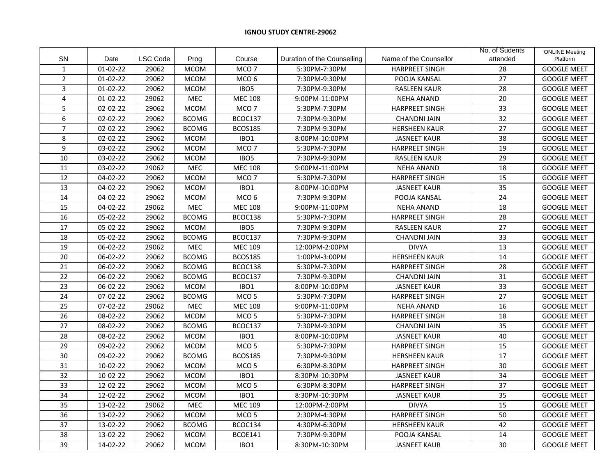## **IGNOU STUDY CENTRE-29062**

|                  |                |                 |              |                  |                             |                        | No. of Sudents | <b>ONLINE Meeting</b> |
|------------------|----------------|-----------------|--------------|------------------|-----------------------------|------------------------|----------------|-----------------------|
| <b>SN</b>        | Date           | <b>LSC Code</b> | Prog         | Course           | Duration of the Counselling | Name of the Counsellor | attended       | Platform              |
| $\mathbf{1}$     | $01-02-22$     | 29062           | <b>MCOM</b>  | MCO <sub>7</sub> | 5:30PM-7:30PM               | <b>HARPREET SINGH</b>  | 28             | <b>GOOGLE MEET</b>    |
| $\overline{2}$   | 01-02-22       | 29062           | <b>MCOM</b>  | MCO <sub>6</sub> | 7:30PM-9:30PM               | POOJA KANSAL           | 27             | <b>GOOGLE MEET</b>    |
| $\overline{3}$   | $01-02-22$     | 29062           | <b>MCOM</b>  | IBO <sub>5</sub> | 7:30PM-9:30PM               | <b>RASLEEN KAUR</b>    | 28             | <b>GOOGLE MEET</b>    |
| $\overline{4}$   | $01 - 02 - 22$ | 29062           | MEC          | <b>MEC 108</b>   | 9:00PM-11:00PM              | <b>NEHA ANAND</b>      | 20             | <b>GOOGLE MEET</b>    |
| 5                | $02 - 02 - 22$ | 29062           | <b>MCOM</b>  | MCO <sub>7</sub> | 5:30PM-7:30PM               | <b>HARPREET SINGH</b>  | 33             | <b>GOOGLE MEET</b>    |
| 6                | 02-02-22       | 29062           | <b>BCOMG</b> | BCOC137          | 7:30PM-9:30PM               | <b>CHANDNI JAIN</b>    | 32             | <b>GOOGLE MEET</b>    |
| $\overline{7}$   | 02-02-22       | 29062           | <b>BCOMG</b> | <b>BCOS185</b>   | 7:30PM-9:30PM               | <b>HERSHEEN KAUR</b>   | 27             | <b>GOOGLE MEET</b>    |
| 8                | 02-02-22       | 29062           | <b>MCOM</b>  | IBO1             | 8:00PM-10:00PM              | <b>JASNEET KAUR</b>    | 38             | <b>GOOGLE MEET</b>    |
| $\boldsymbol{9}$ | 03-02-22       | 29062           | <b>MCOM</b>  | MCO <sub>7</sub> | 5:30PM-7:30PM               | <b>HARPREET SINGH</b>  | 19             | <b>GOOGLE MEET</b>    |
| 10               | 03-02-22       | 29062           | <b>MCOM</b>  | IBO <sub>5</sub> | 7:30PM-9:30PM               | <b>RASLEEN KAUR</b>    | 29             | <b>GOOGLE MEET</b>    |
| 11               | 03-02-22       | 29062           | MEC          | <b>MEC 108</b>   | 9:00PM-11:00PM              | <b>NEHA ANAND</b>      | 18             | <b>GOOGLE MEET</b>    |
| 12               | 04-02-22       | 29062           | <b>MCOM</b>  | MCO <sub>7</sub> | 5:30PM-7:30PM               | <b>HARPREET SINGH</b>  | 15             | <b>GOOGLE MEET</b>    |
| 13               | 04-02-22       | 29062           | <b>MCOM</b>  | IBO <sub>1</sub> | 8:00PM-10:00PM              | <b>JASNEET KAUR</b>    | 35             | <b>GOOGLE MEET</b>    |
| 14               | 04-02-22       | 29062           | <b>MCOM</b>  | MCO <sub>6</sub> | 7:30PM-9:30PM               | POOJA KANSAL           | 24             | <b>GOOGLE MEET</b>    |
| 15               | 04-02-22       | 29062           | MEC          | <b>MEC 108</b>   | 9:00PM-11:00PM              | <b>NEHA ANAND</b>      | 18             | <b>GOOGLE MEET</b>    |
| 16               | 05-02-22       | 29062           | <b>BCOMG</b> | BCOC138          | 5:30PM-7:30PM               | <b>HARPREET SINGH</b>  | 28             | <b>GOOGLE MEET</b>    |
| 17               | 05-02-22       | 29062           | <b>MCOM</b>  | IBO <sub>5</sub> | 7:30PM-9:30PM               | RASLEEN KAUR           | 27             | <b>GOOGLE MEET</b>    |
| 18               | 05-02-22       | 29062           | <b>BCOMG</b> | BCOC137          | 7:30PM-9:30PM               | <b>CHANDNI JAIN</b>    | 33             | <b>GOOGLE MEET</b>    |
| 19               | 06-02-22       | 29062           | MEC          | <b>MEC 109</b>   | 12:00PM-2:00PM              | <b>DIVYA</b>           | 13             | <b>GOOGLE MEET</b>    |
| $\overline{20}$  | 06-02-22       | 29062           | <b>BCOMG</b> | <b>BCOS185</b>   | 1:00PM-3:00PM               | <b>HERSHEEN KAUR</b>   | 14             | <b>GOOGLE MEET</b>    |
| 21               | 06-02-22       | 29062           | <b>BCOMG</b> | BCOC138          | 5:30PM-7:30PM               | <b>HARPREET SINGH</b>  | 28             | <b>GOOGLE MEET</b>    |
| 22               | 06-02-22       | 29062           | <b>BCOMG</b> | BCOC137          | 7:30PM-9:30PM               | <b>CHANDNI JAIN</b>    | 31             | <b>GOOGLE MEET</b>    |
| 23               | 06-02-22       | 29062           | <b>MCOM</b>  | IBO1             | 8:00PM-10:00PM              | <b>JASNEET KAUR</b>    | 33             | <b>GOOGLE MEET</b>    |
| 24               | 07-02-22       | 29062           | <b>BCOMG</b> | MCO <sub>5</sub> | 5:30PM-7:30PM               | <b>HARPREET SINGH</b>  | 27             | <b>GOOGLE MEET</b>    |
| 25               | 07-02-22       | 29062           | MEC          | <b>MEC 108</b>   | 9:00PM-11:00PM              | <b>NEHA ANAND</b>      | 16             | <b>GOOGLE MEET</b>    |
| 26               | 08-02-22       | 29062           | <b>MCOM</b>  | MCO 5            | 5:30PM-7:30PM               | <b>HARPREET SINGH</b>  | 18             | <b>GOOGLE MEET</b>    |
| 27               | 08-02-22       | 29062           | <b>BCOMG</b> | BCOC137          | 7:30PM-9:30PM               | <b>CHANDNI JAIN</b>    | 35             | <b>GOOGLE MEET</b>    |
| 28               | 08-02-22       | 29062           | <b>MCOM</b>  | IBO1             | 8:00PM-10:00PM              | <b>JASNEET KAUR</b>    | 40             | <b>GOOGLE MEET</b>    |
| 29               | 09-02-22       | 29062           | <b>MCOM</b>  | MCO <sub>5</sub> | 5:30PM-7:30PM               | <b>HARPREET SINGH</b>  | 15             | <b>GOOGLE MEET</b>    |
| 30               | 09-02-22       | 29062           | <b>BCOMG</b> | <b>BCOS185</b>   | 7:30PM-9:30PM               | <b>HERSHEEN KAUR</b>   | 17             | <b>GOOGLE MEET</b>    |
| 31               | 10-02-22       | 29062           | <b>MCOM</b>  | MCO <sub>5</sub> | 6:30PM-8:30PM               | <b>HARPREET SINGH</b>  | 30             | <b>GOOGLE MEET</b>    |
| 32               | 10-02-22       | 29062           | <b>MCOM</b>  | IBO1             | 8:30PM-10:30PM              | <b>JASNEET KAUR</b>    | 34             | <b>GOOGLE MEET</b>    |
| 33               | 12-02-22       | 29062           | <b>MCOM</b>  | MCO <sub>5</sub> | 6:30PM-8:30PM               | <b>HARPREET SINGH</b>  | 37             | <b>GOOGLE MEET</b>    |
| 34               | 12-02-22       | 29062           | <b>MCOM</b>  | IBO1             | 8:30PM-10:30PM              | <b>JASNEET KAUR</b>    | 35             | <b>GOOGLE MEET</b>    |
| 35               | 13-02-22       | 29062           | MEC          | <b>MEC 109</b>   | 12:00PM-2:00PM              | <b>DIVYA</b>           | 15             | <b>GOOGLE MEET</b>    |
| 36               | 13-02-22       | 29062           | <b>MCOM</b>  | MCO <sub>5</sub> | 2:30PM-4:30PM               | <b>HARPREET SINGH</b>  | 50             | <b>GOOGLE MEET</b>    |
| 37               | 13-02-22       | 29062           | <b>BCOMG</b> | BCOC134          | 4:30PM-6:30PM               | <b>HERSHEEN KAUR</b>   | 42             | <b>GOOGLE MEET</b>    |
| 38               | 13-02-22       | 29062           | <b>MCOM</b>  | BCOE141          | 7:30PM-9:30PM               | POOJA KANSAL           | 14             | <b>GOOGLE MEET</b>    |
| 39               | 14-02-22       | 29062           | <b>MCOM</b>  | IBO <sub>1</sub> | 8:30PM-10:30PM              | <b>JASNEET KAUR</b>    | 30             | <b>GOOGLE MEET</b>    |